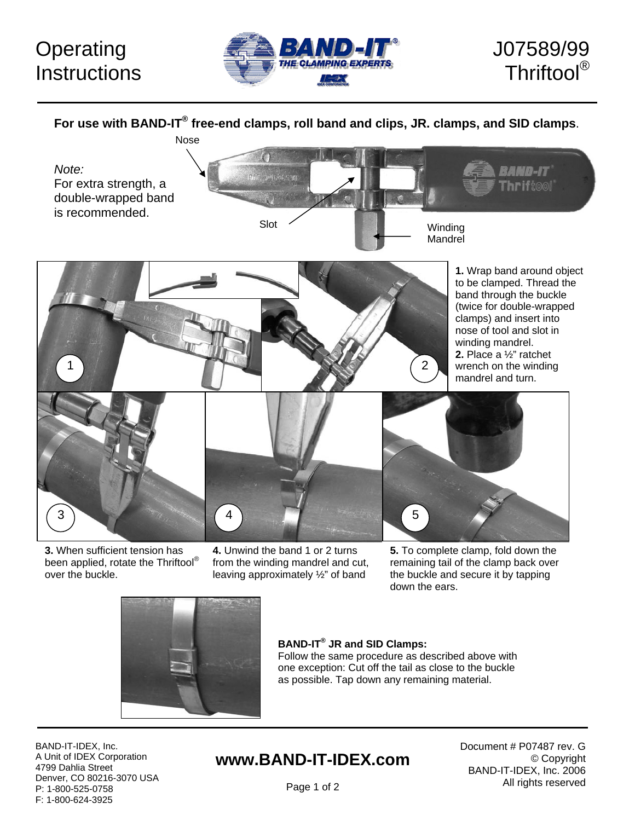# **Operating Instructions**





**For use with BAND-IT® free-end clamps, roll band and clips, JR. clamps, and SID clamps**.



**3.** When sufficient tension has been applied, rotate the Thriftool® over the buckle.

**4.** Unwind the band 1 or 2 turns from the winding mandrel and cut, leaving approximately ½" of band

**5.** To complete clamp, fold down the remaining tail of the clamp back over the buckle and secure it by tapping down the ears.



#### **BAND-IT® JR and SID Clamps:**

Follow the same procedure as described above with one exception: Cut off the tail as close to the buckle as possible. Tap down any remaining material.

BAND-IT-IDEX, Inc. A Unit of IDEX Corporation 4799 Dahlia Street Denver, CO 80216-3070 USA P: 1-800-525-0758 F: 1-800-624-3925

## **www.BAND-IT-IDEX.com**

Document # P07487 rev. G © Copyright BAND-IT-IDEX, Inc. 2006 All rights reserved

Page 1 of 2